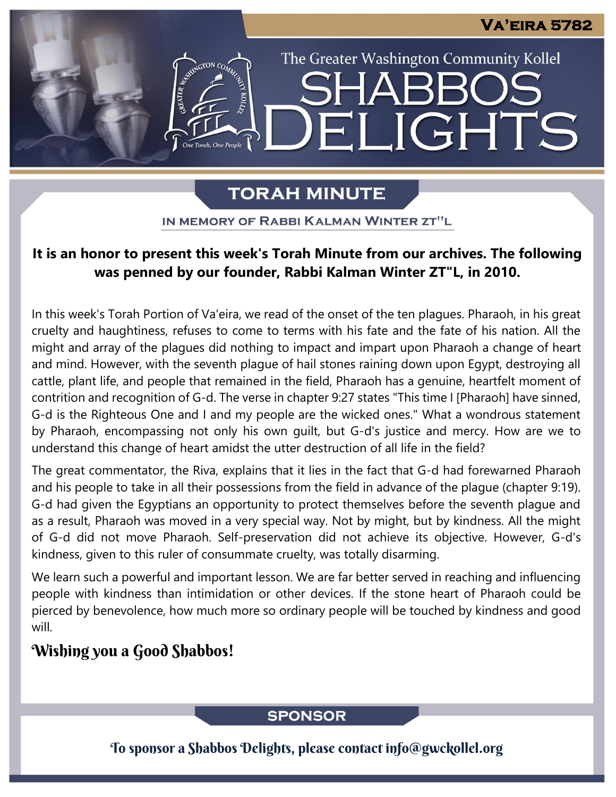The Greater Washington Community Kollel

**JGHTS** 

# **TORAH MINUTE**

EI

ASSEMBATON CO

IN MEMORY OF RABBI KALMAN WINTER ZT"L

# It is an honor to present this week's Torah Minute from our archives. The following **was penned by our founder, Rabbi Kalman Winter ZT"L, in 2010.**

In this week's Torah Portion of Va'eira, we read of the onset of the ten plagues. Pharaoh, in his great cruelty and haughtiness, refuses to come to terms with his fate and the fate of his nation. All the might and array of the plagues did nothing to impact and impart upon Pharaoh a change of heart and mind. However, with the seventh plague of hail stones raining down upon Egypt, destroying all cattle, plant life, and people that remained in the field, Pharaoh has a genuine, heartfelt moment of contrition and recognition of G-d. The verse in chapter 9:27 states "This time I [Pharaoh] have sinned, G-d is the Righteous One and I and my people are the wicked ones." What a wondrous statement by Pharaoh, encompassing not only his own guilt, but G-d's justice and mercy. How are we to understand this change of heart amidst the utter destruction of all life in the field?

The great commentator, the Riva, explains that it lies in the fact that G-d had forewarned Pharaoh and his people to take in all their possessions from the field in advance of the plague (chapter 9:19). G-d had given the Egyptians an opportunity to protect themselves before the seventh plague and as a result, Pharaoh was moved in a very special way. Not by might, but by kindness. All the might of G-d did not move Pharaoh. Self-preservation did not achieve its objective. However, G-d's kindness, given to this ruler of consummate cruelty, was totally disarming.

We learn such a powerful and important lesson. We are far better served in reaching and influencing people with kindness than intimidation or other devices. If the stone heart of Pharaoh could be pierced by benevolence, how much more so ordinary people will be touched by kindness and good will.

# Wishing you a Good Shabbos!

# **SPONSOR**

To sponsor a Shabbos Delights, please contact info@gwckollel.org